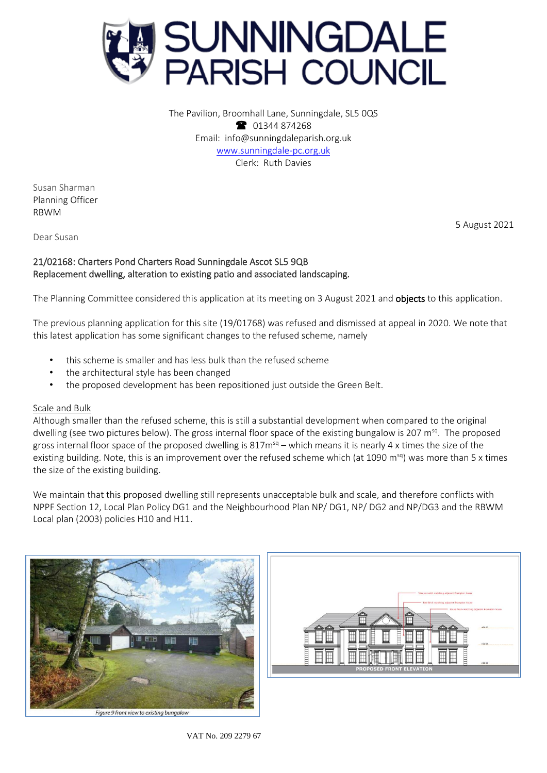

The Pavilion, Broomhall Lane, Sunningdale, SL5 0QS 1344 874268 Email: info@sunningdaleparish.org.uk [www.sunningdale-pc.org.uk](http://www.sunningdale-pc.org.uk/) Clerk: Ruth Davies

Susan Sharman Planning Officer RBWM

5 August 2021

Dear Susan

# 21/02168: Charters Pond Charters Road Sunningdale Ascot SL5 9QB Replacement dwelling, alteration to existing patio and associated landscaping.

The Planning Committee considered this application at its meeting on 3 August 2021 and **objects** to this application.

The previous planning application for this site (19/01768) was refused and dismissed at appeal in 2020. We note that this latest application has some significant changes to the refused scheme, namely

- this scheme is smaller and has less bulk than the refused scheme
- the architectural style has been changed
- the proposed development has been repositioned just outside the Green Belt.

# Scale and Bulk

Although smaller than the refused scheme, this is still a substantial development when compared to the original dwelling (see two pictures below). The gross internal floor space of the existing bungalow is 207 m<sup>sq</sup>. The proposed gross internal floor space of the proposed dwelling is  $817m^{sq}$  – which means it is nearly 4 x times the size of the existing building. Note, this is an improvement over the refused scheme which (at 1090 m<sup>sq</sup>) was more than 5 x times the size of the existing building.

We maintain that this proposed dwelling still represents unacceptable bulk and scale, and therefore conflicts with NPPF Section 12, Local Plan Policy DG1 and the Neighbourhood Plan NP/ DG1, NP/ DG2 and NP/DG3 and the RBWM Local plan (2003) policies H10 and H11.





VAT No. 209 2279 67